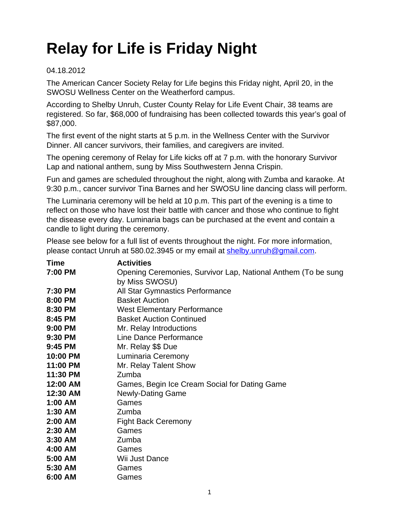## **Relay for Life is Friday Night**

## 04.18.2012

The American Cancer Society Relay for Life begins this Friday night, April 20, in the SWOSU Wellness Center on the Weatherford campus.

According to Shelby Unruh, Custer County Relay for Life Event Chair, 38 teams are registered. So far, \$68,000 of fundraising has been collected towards this year's goal of \$87,000.

The first event of the night starts at 5 p.m. in the Wellness Center with the Survivor Dinner. All cancer survivors, their families, and caregivers are invited.

The opening ceremony of Relay for Life kicks off at 7 p.m. with the honorary Survivor Lap and national anthem, sung by Miss Southwestern Jenna Crispin.

Fun and games are scheduled throughout the night, along with Zumba and karaoke. At 9:30 p.m., cancer survivor Tina Barnes and her SWOSU line dancing class will perform.

The Luminaria ceremony will be held at 10 p.m. This part of the evening is a time to reflect on those who have lost their battle with cancer and those who continue to fight the disease every day. Luminaria bags can be purchased at the event and contain a candle to light during the ceremony.

Please see below for a full list of events throughout the night. For more information, please contact Unruh at 580.02.3945 or my email at [shelby.unruh@gmail.com](mailto:shelby.unruh@gmail.com).

| <b>Time</b> | <b>Activities</b>                                             |
|-------------|---------------------------------------------------------------|
| 7:00 PM     | Opening Ceremonies, Survivor Lap, National Anthem (To be sung |
|             | by Miss SWOSU)                                                |
| 7:30 PM     | All Star Gymnastics Performance                               |
| 8:00 PM     | <b>Basket Auction</b>                                         |
| 8:30 PM     | <b>West Elementary Performance</b>                            |
| 8:45 PM     | <b>Basket Auction Continued</b>                               |
| 9:00 PM     | Mr. Relay Introductions                                       |
| 9:30 PM     | Line Dance Performance                                        |
| 9:45 PM     | Mr. Relay \$\$ Due                                            |
| 10:00 PM    | Luminaria Ceremony                                            |
| 11:00 PM    | Mr. Relay Talent Show                                         |
| 11:30 PM    | Zumba                                                         |
| 12:00 AM    | Games, Begin Ice Cream Social for Dating Game                 |
| 12:30 AM    | <b>Newly-Dating Game</b>                                      |
| $1:00$ AM   | Games                                                         |
| $1:30$ AM   | Zumba                                                         |
| $2:00$ AM   | <b>Fight Back Ceremony</b>                                    |
| $2:30$ AM   | Games                                                         |
| $3:30$ AM   | Zumba                                                         |
| 4:00 AM     | Games                                                         |
| 5:00 AM     | Wii Just Dance                                                |
| 5:30 AM     | Games                                                         |
| 6:00 AM     | Games                                                         |